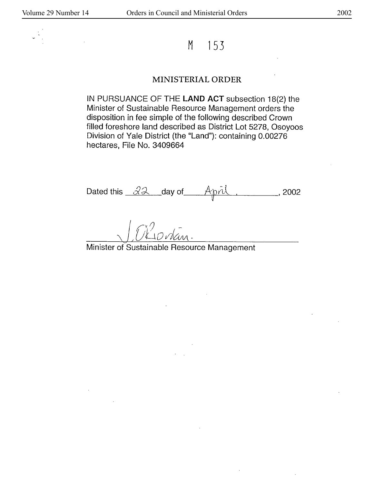## M 153

## MINISTERIAL ORDER

IN PURSUANCE OF THE **LAND ACT** subsection 18(2) the Minister of Sustainable Resource Management orders the disposition in fee simple of the following described Crown filled foreshore land described as District Lot 5278, Osoyoos Division of Yale District (the "Land"): containing 0.00276 hectares, File No. 3409664

Dated this  $\frac{\partial^2 \mathcal{L}}{\partial x^2}$  day of  $\frac{\partial^2 \mathcal{L}}{\partial y \partial y^2}$ , 2002

V

Minister of Sustainable Resource Management